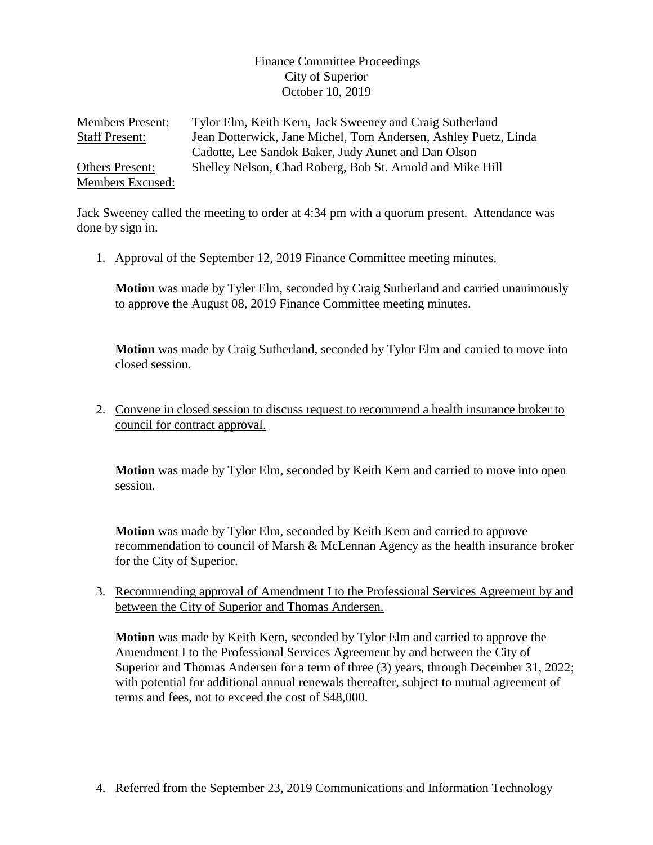## Finance Committee Proceedings City of Superior October 10, 2019

Members Present: Tylor Elm, Keith Kern, Jack Sweeney and Craig Sutherland Staff Present: Jean Dotterwick, Jane Michel, Tom Andersen, Ashley Puetz, Linda Cadotte, Lee Sandok Baker, Judy Aunet and Dan Olson Others Present: Shelley Nelson, Chad Roberg, Bob St. Arnold and Mike Hill Members Excused:

Jack Sweeney called the meeting to order at 4:34 pm with a quorum present. Attendance was done by sign in.

1. Approval of the September 12, 2019 Finance Committee meeting minutes.

**Motion** was made by Tyler Elm, seconded by Craig Sutherland and carried unanimously to approve the August 08, 2019 Finance Committee meeting minutes.

**Motion** was made by Craig Sutherland, seconded by Tylor Elm and carried to move into closed session.

2. Convene in closed session to discuss request to recommend a health insurance broker to council for contract approval.

**Motion** was made by Tylor Elm, seconded by Keith Kern and carried to move into open session.

**Motion** was made by Tylor Elm, seconded by Keith Kern and carried to approve recommendation to council of Marsh & McLennan Agency as the health insurance broker for the City of Superior.

3. Recommending approval of Amendment I to the Professional Services Agreement by and between the City of Superior and Thomas Andersen.

**Motion** was made by Keith Kern, seconded by Tylor Elm and carried to approve the Amendment I to the Professional Services Agreement by and between the City of Superior and Thomas Andersen for a term of three (3) years, through December 31, 2022; with potential for additional annual renewals thereafter, subject to mutual agreement of terms and fees, not to exceed the cost of \$48,000.

4. Referred from the September 23, 2019 Communications and Information Technology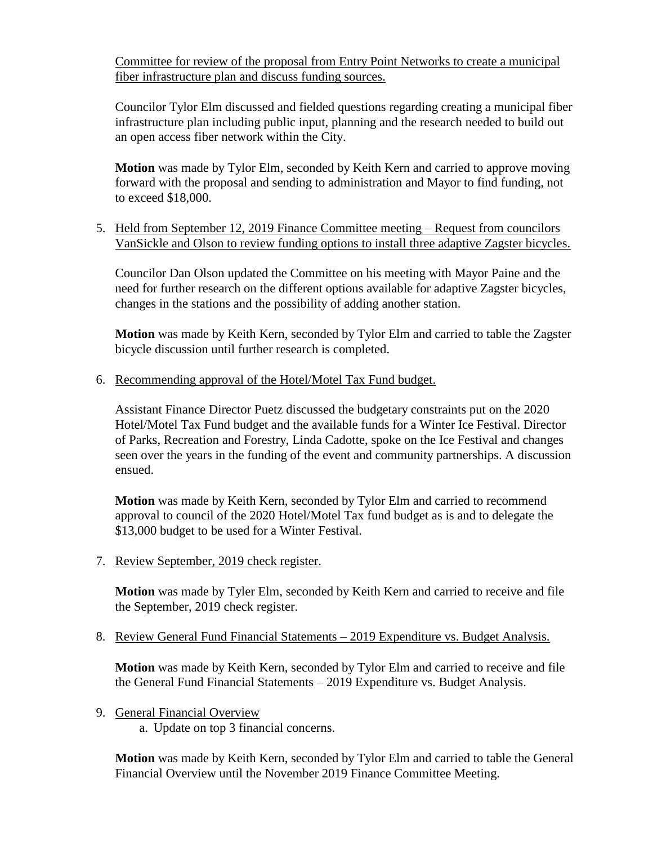Committee for review of the proposal from Entry Point Networks to create a municipal fiber infrastructure plan and discuss funding sources.

Councilor Tylor Elm discussed and fielded questions regarding creating a municipal fiber infrastructure plan including public input, planning and the research needed to build out an open access fiber network within the City.

**Motion** was made by Tylor Elm, seconded by Keith Kern and carried to approve moving forward with the proposal and sending to administration and Mayor to find funding, not to exceed \$18,000.

5. Held from September 12, 2019 Finance Committee meeting – Request from councilors VanSickle and Olson to review funding options to install three adaptive Zagster bicycles.

Councilor Dan Olson updated the Committee on his meeting with Mayor Paine and the need for further research on the different options available for adaptive Zagster bicycles, changes in the stations and the possibility of adding another station.

**Motion** was made by Keith Kern, seconded by Tylor Elm and carried to table the Zagster bicycle discussion until further research is completed.

6. Recommending approval of the Hotel/Motel Tax Fund budget.

Assistant Finance Director Puetz discussed the budgetary constraints put on the 2020 Hotel/Motel Tax Fund budget and the available funds for a Winter Ice Festival. Director of Parks, Recreation and Forestry, Linda Cadotte, spoke on the Ice Festival and changes seen over the years in the funding of the event and community partnerships. A discussion ensued.

**Motion** was made by Keith Kern, seconded by Tylor Elm and carried to recommend approval to council of the 2020 Hotel/Motel Tax fund budget as is and to delegate the \$13,000 budget to be used for a Winter Festival.

7. Review September, 2019 check register.

**Motion** was made by Tyler Elm, seconded by Keith Kern and carried to receive and file the September, 2019 check register.

8. Review General Fund Financial Statements – 2019 Expenditure vs. Budget Analysis.

**Motion** was made by Keith Kern, seconded by Tylor Elm and carried to receive and file the General Fund Financial Statements – 2019 Expenditure vs. Budget Analysis.

9. General Financial Overview

a. Update on top 3 financial concerns.

**Motion** was made by Keith Kern, seconded by Tylor Elm and carried to table the General Financial Overview until the November 2019 Finance Committee Meeting.